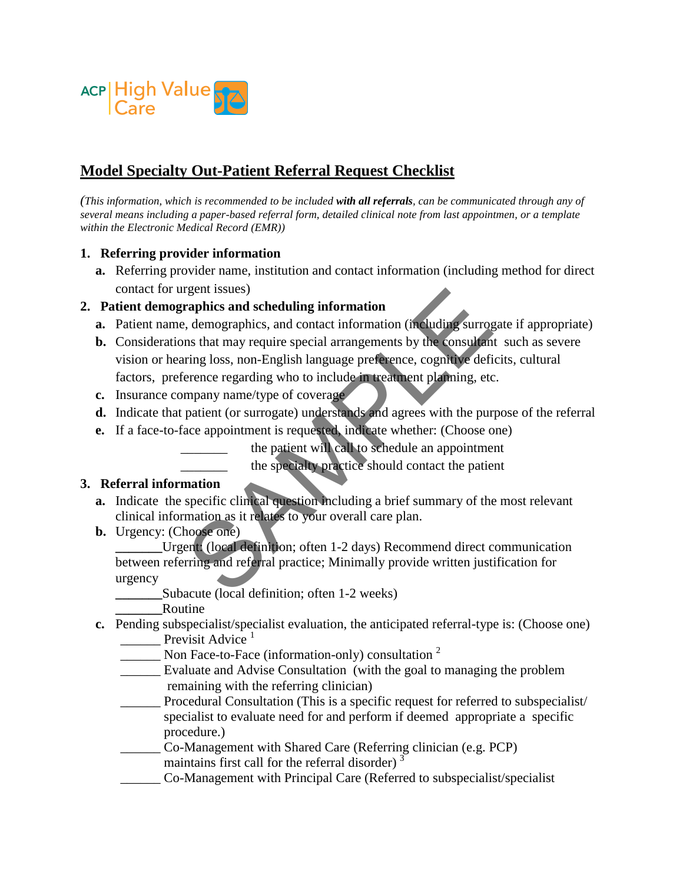

# **Model Specialty Out-Patient Referral Request Checklist**

*(This information, which is recommended to be included with all referrals, can be communicated through any of several means including a paper-based referral form, detailed clinical note from last appointmen, or a template within the Electronic Medical Record (EMR))* 

#### **1. Referring provider information**

**a.** Referring provider name, institution and contact information (including method for direct contact for urgent issues)

### **2. Patient demographics and scheduling information**

- **a.** Patient name, demographics, and contact information (including surrogate if appropriate)
- **b.** Considerations that may require special arrangements by the consultant such as severe vision or hearing loss, non-English language preference, cognitive deficits, cultural factors, preference regarding who to include in treatment planning, etc. report issues)<br>
expert issues)<br>
demographics, and contact information (including surroy<br>
ins that may require special arrangements by the consultant<br>
ring loss, non-English language preference, cognitive defi<br>
erence regar
- **c.** Insurance company name/type of coverage
- **d.** Indicate that patient (or surrogate) understands and agrees with the purpose of the referral
- **e.** If a face-to-face appointment is requested, indicate whether: (Choose one)

the patient will call to schedule an appointment

the specialty practice should contact the patient

#### **3. Referral information**

- **a.** Indicate the specific clinical question including a brief summary of the most relevant clinical information as it relates to your overall care plan.
- **b.** Urgency: (Choose one)

Urgent: (local definition; often 1-2 days) Recommend direct communication between referring and referral practice; Minimally provide written justification for urgency

Subacute (local definition; often 1-2 weeks)

**\_\_\_\_\_\_\_**Routine

- **c.** Pending subspecialist/specialist evaluation, the anticipated referral-type is: (Choose one) Previsit Advice  $<sup>1</sup>$ </sup>
	- Non Face-to-Face (information-only) consultation <sup>2</sup>
	- Evaluate and Advise Consultation (with the goal to managing the problem remaining with the referring clinician)
	- Procedural Consultation (This is a specific request for referred to subspecialist/ specialist to evaluate need for and perform if deemed appropriate a specific procedure.)

\_\_\_\_\_\_ Co-Management with Shared Care (Referring clinician (e.g. PCP) maintains first call for the referral disorder)  $3$ 

\_\_\_\_\_\_ Co-Management with Principal Care (Referred to subspecialist/specialist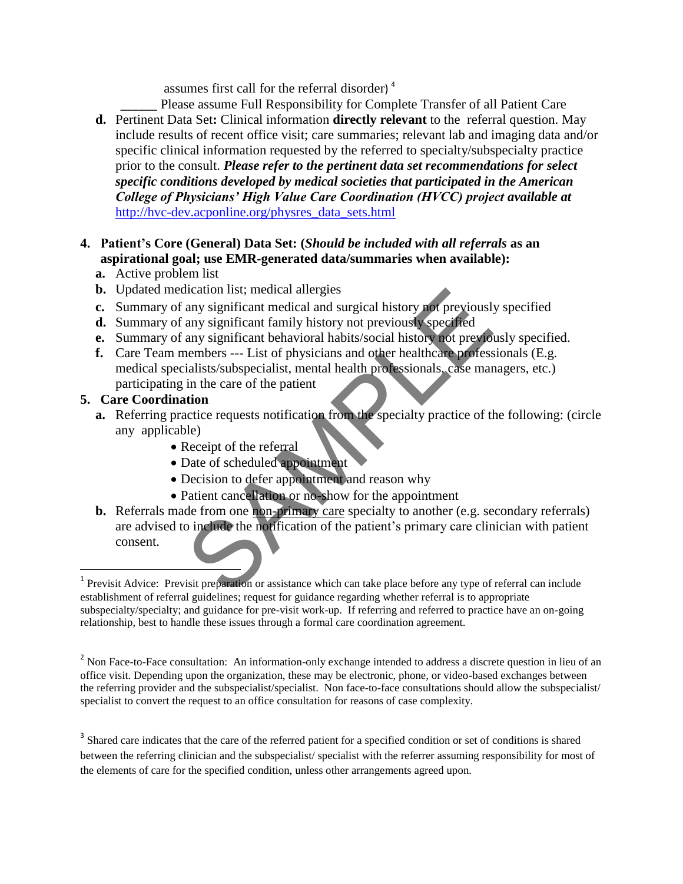assumes first call for the referral disorder) <sup>4</sup>

Please assume Full Responsibility for Complete Transfer of all Patient Care **d.** Pertinent Data Set**:** Clinical information **directly relevant** to the referral question. May include results of recent office visit; care summaries; relevant lab and imaging data and/or specific clinical information requested by the referred to specialty/subspecialty practice prior to the consult. *Please refer to the pertinent data set recommendations for select specific conditions developed by medical societies that participated in the American College of Physicians' High Value Care Coordination (HVCC) project available at* [http://hvc-dev.acponline.org/physres\\_data\\_sets.html](http://hvc-dev.acponline.org/physres_data_sets.html)

### **4. Patient's Core (General) Data Set: (***Should be included with all referrals* **as an aspirational goal; use EMR-generated data/summaries when available):**

- **a.** Active problem list
- **b.** Updated medication list; medical allergies
- **c.** Summary of any significant medical and surgical history not previously specified
- **d.** Summary of any significant family history not previously specified
- **e.** Summary of any significant behavioral habits/social history not previously specified.
- **f.** Care Team members --- List of physicians and other healthcare professionals (E.g. medical specialists/subspecialist, mental health professionals, case managers, etc.) participating in the care of the patient

## **5. Care Coordination**

l

- **a.** Referring practice requests notification from the specialty practice of the following: (circle any applicable)
	- Receipt of the referral
	- Date of scheduled appointment
	- Decision to defer appointment and reason why
	- Patient cancellation or no-show for the appointment
- **b.** Referrals made from one non-primary care specialty to another (e.g. secondary referrals) are advised to include the notification of the patient's primary care clinician with patient consent. dication list; medical allergies<br>any significant medical and surgical history not previously<br>any significant family history not previously specified<br>any significant behavioral habits/social history not previously<br>nembers -

<sup>3</sup> Shared care indicates that the care of the referred patient for a specified condition or set of conditions is shared between the referring clinician and the subspecialist/ specialist with the referrer assuming responsibility for most of the elements of care for the specified condition, unless other arrangements agreed upon.

<sup>&</sup>lt;sup>1</sup> Previsit Advice: Previsit preparation or assistance which can take place before any type of referral can include establishment of referral guidelines; request for guidance regarding whether referral is to appropriate subspecialty/specialty; and guidance for pre-visit work-up. If referring and referred to practice have an on-going relationship, best to handle these issues through a formal care coordination agreement.

<sup>&</sup>lt;sup>2</sup> Non Face-to-Face consultation: An information-only exchange intended to address a discrete question in lieu of an office visit. Depending upon the organization, these may be electronic, phone, or video-based exchanges between the referring provider and the subspecialist/specialist. Non face-to-face consultations should allow the subspecialist/ specialist to convert the request to an office consultation for reasons of case complexity.